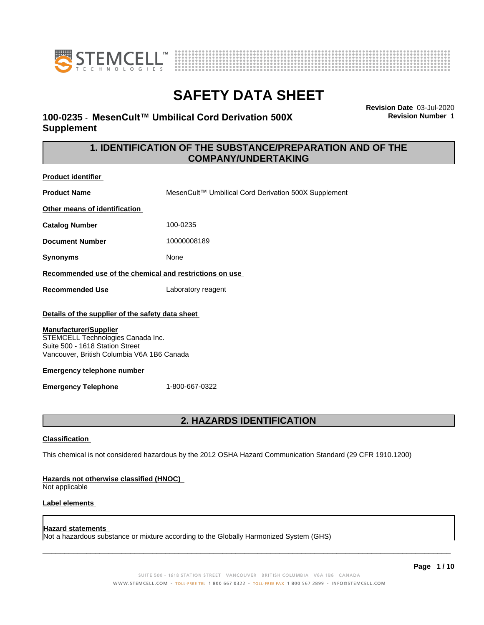



### **100-0235** - **MesenCult™ UmbilicalCordDerivation500X Supplement**

**Revision Date** 03-Jul-2020 **Revision Number** 1

### **1. IDENTIFICATION OF THE SUBSTANCE/PREPARATION AND OF THE COMPANY/UNDERTAKING**

**Product identifier Product Name** MesenCult™ Umbilical Cord Derivation 500X Supplement **Other means of identification Catalog Number** 100-0235 **Document Number** 10000008189 **Synonyms** None **Recommended use of the chemical and restrictions on use Recommended Use** Laboratory reagent **Details of the supplier of the safety data sheet Emergency telephone number Emergency Telephone** 1-800-667-0322 **2. HAZARDS IDENTIFICATION Classification** This chemical is not considered hazardous by the 2012 OSHA Hazard Communication Standard (29 CFR 1910.1200) **Manufacturer/Supplier** STEMCELL Technologies Canada Inc. Suite 500 - 1618 Station Street Vancouver, British Columbia V6A 1B6 Canada

### **Hazards not otherwise classified (HNOC)**

Not applicable

### **Label elements**

#### **Hazard statements**

Not a hazardous substance or mixture according to the Globally Harmonized System (GHS)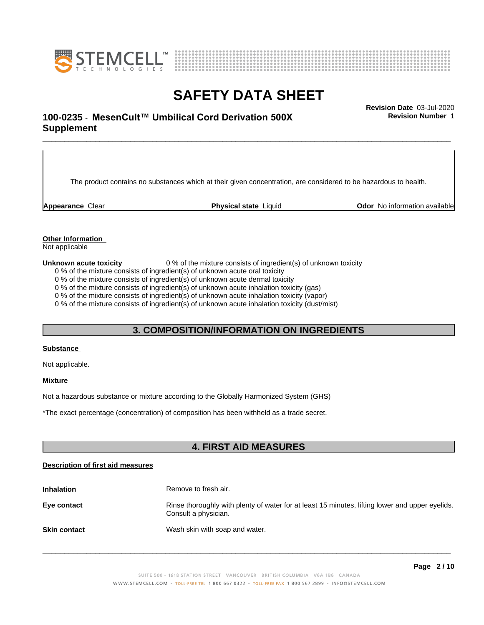



**Revision Number** 1

# \_\_\_\_\_\_\_\_\_\_\_\_\_\_\_\_\_\_\_\_\_\_\_\_\_\_\_\_\_\_\_\_\_\_\_\_\_\_\_\_\_\_\_\_\_\_\_\_\_\_\_\_\_\_\_\_\_\_\_\_\_\_\_\_\_\_\_\_\_\_\_\_\_\_\_\_\_\_\_\_\_\_\_\_\_\_\_\_\_\_\_\_\_ **Revision Date** 03-Jul-2020 **100-0235 ⋅ MesenCult™ Umbilical Cord Derivation 500X** Revision Number 1 **Supplement**

The product contains no substances which at their given concentration, are considered to be hazardous to health.

**Appearance** Clear **Physical state** Liquid **Clearing Clear in Clear** *Clear* **Clearing** *Physical state* Liquid *Physical state* Liquid *Odor No information available* 

### **Other Information**

Not applicable

#### **Unknown acute toxicity** 0 % of the mixture consists of ingredient(s) of unknown toxicity

0 % of the mixture consists of ingredient(s) of unknown acute oral toxicity

0 % of the mixture consists of ingredient(s) of unknown acute dermal toxicity

0 % of the mixture consists of ingredient(s) of unknown acute inhalation toxicity (gas)

0 % of the mixture consists of ingredient(s) of unknown acute inhalation toxicity (vapor)

0 % of the mixture consists of ingredient(s) of unknown acute inhalation toxicity (dust/mist)

### **3. COMPOSITION/INFORMATION ON INGREDIENTS**

### **Substance**

Not applicable.

### **Mixture**

Not a hazardous substance or mixture according to the Globally Harmonized System (GHS)

\*The exact percentage (concentration) of composition has been withheld as a trade secret.

### **4. FIRST AID MEASURES**

### **Description of first aid measures**

| <b>Inhalation</b>   | Remove to fresh air.                                                                                                    |
|---------------------|-------------------------------------------------------------------------------------------------------------------------|
| Eye contact         | Rinse thoroughly with plenty of water for at least 15 minutes, lifting lower and upper eyelids.<br>Consult a physician. |
| <b>Skin contact</b> | Wash skin with soap and water.                                                                                          |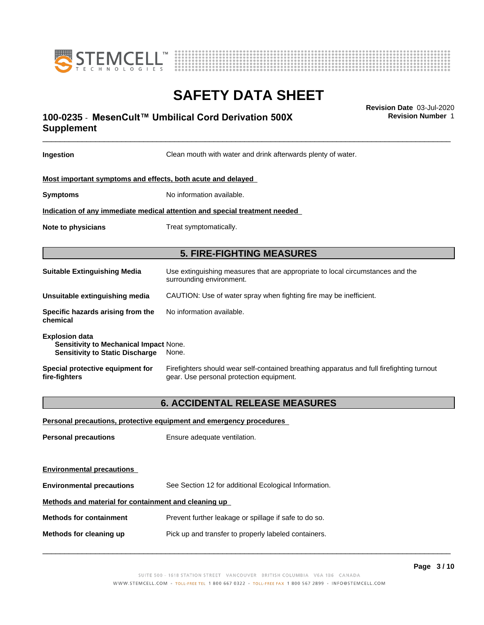



# \_\_\_\_\_\_\_\_\_\_\_\_\_\_\_\_\_\_\_\_\_\_\_\_\_\_\_\_\_\_\_\_\_\_\_\_\_\_\_\_\_\_\_\_\_\_\_\_\_\_\_\_\_\_\_\_\_\_\_\_\_\_\_\_\_\_\_\_\_\_\_\_\_\_\_\_\_\_\_\_\_\_\_\_\_\_\_\_\_\_\_\_\_ **Revision Date** 03-Jul-2020 **100-0235 ⋅ MesenCult™ Umbilical Cord Derivation 500X** Revision Number 1 **Supplement**

**Ingestion Clean mouth with water and drink afterwards plenty of water. Most important symptoms and effects, both acute and delayed Symptoms** No information available. **Indication of any immediate medical attention and special treatment needed Note to physicians** Treat symptomatically. **5. FIRE-FIGHTING MEASURES Suitable Extinguishing Media** Use extinguishing measures that are appropriate to local circumstances and the surrounding environment. **Unsuitable extinguishing media** CAUTION: Use of water spray when fighting fire may be inefficient. **Specific hazards arising from the chemical** No information available. **Explosion data Sensitivity to Mechanical Impact** None. **Sensitivity to Static Discharge** None. **Special protective equipment for fire-fighters** Firefighters should wear self-contained breathing apparatus and full firefighting turnout gear. Use personal protection equipment.**6. ACCIDENTAL RELEASE MEASURES Personal precautions, protective equipment and emergency procedures Personal precautions** Ensure adequate ventilation. **Environmental precautions Environmental precautions** See Section 12 for additional Ecological Information. **Methods and material for containment and cleaning up Methods for containment** Prevent further leakage or spillage if safe to do so.

**Methods for cleaning up** Pick up and transfer to properly labeled containers.

 $\overline{\phantom{a}}$  ,  $\overline{\phantom{a}}$  ,  $\overline{\phantom{a}}$  ,  $\overline{\phantom{a}}$  ,  $\overline{\phantom{a}}$  ,  $\overline{\phantom{a}}$  ,  $\overline{\phantom{a}}$  ,  $\overline{\phantom{a}}$  ,  $\overline{\phantom{a}}$  ,  $\overline{\phantom{a}}$  ,  $\overline{\phantom{a}}$  ,  $\overline{\phantom{a}}$  ,  $\overline{\phantom{a}}$  ,  $\overline{\phantom{a}}$  ,  $\overline{\phantom{a}}$  ,  $\overline{\phantom{a}}$ 

**Revision Number** 1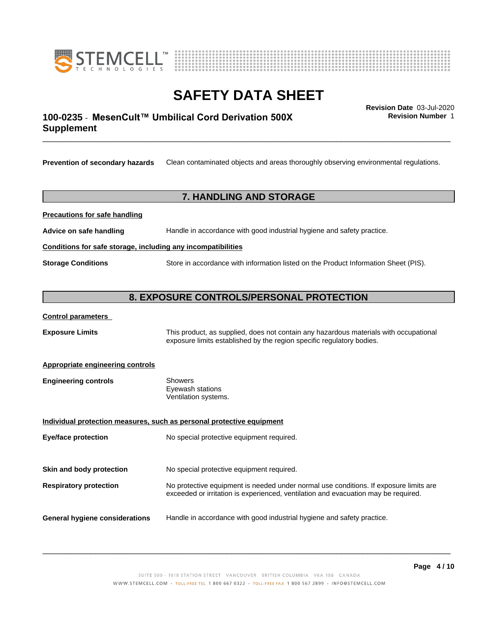



# \_\_\_\_\_\_\_\_\_\_\_\_\_\_\_\_\_\_\_\_\_\_\_\_\_\_\_\_\_\_\_\_\_\_\_\_\_\_\_\_\_\_\_\_\_\_\_\_\_\_\_\_\_\_\_\_\_\_\_\_\_\_\_\_\_\_\_\_\_\_\_\_\_\_\_\_\_\_\_\_\_\_\_\_\_\_\_\_\_\_\_\_\_ **Revision Date** 03-Jul-2020 **100-0235 ⋅ MesenCult™ Umbilical Cord Derivation 500X** Revision Number 1 **Supplement**

**Revision Number** 1

**Prevention of secondary hazards** Clean contaminated objects and areas thoroughly observing environmental regulations.

### **7. HANDLING AND STORAGE**

**Precautions for safe handling**

**Advice on safe handling** Handle in accordance with good industrial hygiene and safety practice.

**Conditions for safe storage, including any incompatibilities**

**Storage Conditions** Store in accordance with information listed on the Product Information Sheet (PIS).

### **8. EXPOSURE CONTROLS/PERSONAL PROTECTION**

#### **Control parameters**

**Exposure Limits** This product, as supplied, does not contain any hazardous materials with occupational exposure limits established by the region specific regulatory bodies.

### **Appropriate engineering controls**

| <b>Engineering controls</b> | Showers              |  |
|-----------------------------|----------------------|--|
|                             | Eyewash stations     |  |
|                             | Ventilation systems. |  |

| Individual protection measures, such as personal protective equipment |                                                                                                                                                                             |  |
|-----------------------------------------------------------------------|-----------------------------------------------------------------------------------------------------------------------------------------------------------------------------|--|
| Eye/face protection                                                   | No special protective equipment required.                                                                                                                                   |  |
| Skin and body protection                                              | No special protective equipment required.                                                                                                                                   |  |
| <b>Respiratory protection</b>                                         | No protective equipment is needed under normal use conditions. If exposure limits are<br>exceeded or irritation is experienced, ventilation and evacuation may be required. |  |

**General hygiene considerations** Handle in accordance with good industrial hygiene and safety practice.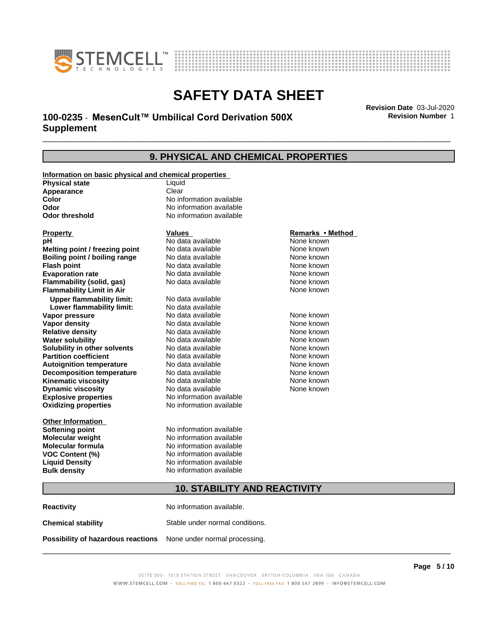



# \_\_\_\_\_\_\_\_\_\_\_\_\_\_\_\_\_\_\_\_\_\_\_\_\_\_\_\_\_\_\_\_\_\_\_\_\_\_\_\_\_\_\_\_\_\_\_\_\_\_\_\_\_\_\_\_\_\_\_\_\_\_\_\_\_\_\_\_\_\_\_\_\_\_\_\_\_\_\_\_\_\_\_\_\_\_\_\_\_\_\_\_\_ **Revision Date** 03-Jul-2020 **100-0235 ⋅ MesenCult™ Umbilical Cord Derivation 500X** Revision Number 1 **Supplement**

**Revision Number** 1

### **9. PHYSICAL AND CHEMICAL PROPERTIES**

| Information on basic physical and chemical properties |                                 |                  |  |
|-------------------------------------------------------|---------------------------------|------------------|--|
| <b>Physical state</b>                                 | Liquid                          |                  |  |
| Appearance                                            | Clear                           |                  |  |
| <b>Color</b>                                          | No information available        |                  |  |
| Odor                                                  | No information available        |                  |  |
| <b>Odor threshold</b>                                 | No information available        |                  |  |
|                                                       |                                 |                  |  |
| <b>Property</b>                                       | <b>Values</b>                   | Remarks • Method |  |
| рH                                                    | No data available               | None known       |  |
| Melting point / freezing point                        | No data available               | None known       |  |
| Boiling point / boiling range                         | No data available               | None known       |  |
| <b>Flash point</b>                                    | No data available<br>None known |                  |  |
| <b>Evaporation rate</b>                               | No data available               | None known       |  |
| Flammability (solid, gas)                             | No data available               | None known       |  |
| <b>Flammability Limit in Air</b>                      |                                 | None known       |  |
| <b>Upper flammability limit:</b>                      | No data available               |                  |  |
| Lower flammability limit:                             | No data available               |                  |  |
| Vapor pressure                                        | No data available               | None known       |  |
| <b>Vapor density</b>                                  | No data available               | None known       |  |
| <b>Relative density</b>                               | No data available               | None known       |  |
| <b>Water solubility</b>                               | No data available               | None known       |  |
| Solubility in other solvents                          | No data available               | None known       |  |
| <b>Partition coefficient</b>                          | No data available               | None known       |  |
| <b>Autoignition temperature</b>                       | No data available               | None known       |  |
| <b>Decomposition temperature</b>                      | No data available               | None known       |  |
| <b>Kinematic viscosity</b>                            | No data available               | None known       |  |
| <b>Dynamic viscosity</b>                              | No data available               | None known       |  |
| <b>Explosive properties</b>                           | No information available        |                  |  |
| <b>Oxidizing properties</b>                           | No information available        |                  |  |
|                                                       |                                 |                  |  |
| <b>Other Information</b>                              |                                 |                  |  |
| <b>Softening point</b>                                | No information available        |                  |  |
| <b>Molecular weight</b>                               | No information available        |                  |  |
| Molecular formula                                     | No information available        |                  |  |
| <b>VOC Content (%)</b>                                | No information available        |                  |  |
| <b>Liquid Density</b>                                 | No information available        |                  |  |
| <b>Bulk density</b>                                   | No information available        |                  |  |
|                                                       |                                 |                  |  |
| <b>10. STABILITY AND REACTIVITY</b>                   |                                 |                  |  |

| <b>Reactivity</b>                                                       | No information available.       |
|-------------------------------------------------------------------------|---------------------------------|
| <b>Chemical stability</b>                                               | Stable under normal conditions. |
| <b>Possibility of hazardous reactions</b> None under normal processing. |                                 |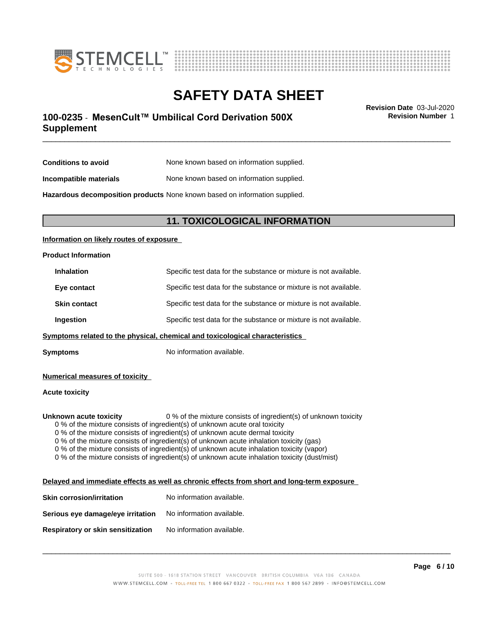



# \_\_\_\_\_\_\_\_\_\_\_\_\_\_\_\_\_\_\_\_\_\_\_\_\_\_\_\_\_\_\_\_\_\_\_\_\_\_\_\_\_\_\_\_\_\_\_\_\_\_\_\_\_\_\_\_\_\_\_\_\_\_\_\_\_\_\_\_\_\_\_\_\_\_\_\_\_\_\_\_\_\_\_\_\_\_\_\_\_\_\_\_\_ **Revision Date** 03-Jul-2020 **100-0235 ⋅ MesenCult™ Umbilical Cord Derivation 500X** Revision Number 1 **Supplement**

**Revision Number** 1

| Conditions to avoid    | None known based on information supplied. |
|------------------------|-------------------------------------------|
| Incompatible materials | None known based on information supplied. |

**Hazardous decomposition products** None known based on information supplied.

### **11. TOXICOLOGICAL INFORMATION**

### **Information on likely routes of exposure**

# **Product Information Inhalation** Specific test data for the substance or mixture is not available. **Eye contact** Specific test data for the substance or mixture is not available. **Skin contact** Specific test data for the substance or mixture is not available. **Ingestion** Specific test data for the substance or mixture is not available. **<u>Symptoms related to the physical, chemical and toxicological characteristics</u>**

**Symptoms** No information available.

**Numerical measures of toxicity**

**Acute toxicity**

**Unknown acute toxicity** 0 % of the mixture consists of ingredient(s) of unknown toxicity

0 % of the mixture consists of ingredient(s) of unknown acute oral toxicity

0 % of the mixture consists of ingredient(s) of unknown acute dermal toxicity

0 % of the mixture consists of ingredient(s) of unknown acute inhalation toxicity (gas)

0 % of the mixture consists of ingredient(s) of unknown acute inhalation toxicity (vapor)

0 % of the mixture consists of ingredient(s) of unknown acute inhalation toxicity (dust/mist)

### **Delayed and immediate effects as well as chronic effects from short and long-term exposure**

| <b>Skin corrosion/irritation</b>  | No information available. |
|-----------------------------------|---------------------------|
| Serious eye damage/eye irritation | No information available. |
| Respiratory or skin sensitization | No information available. |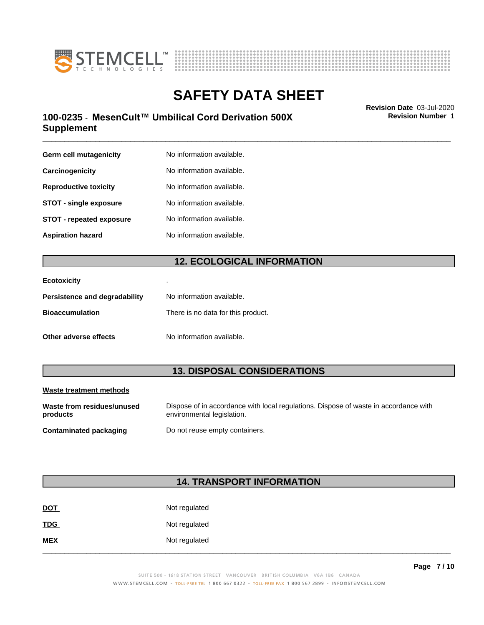



# \_\_\_\_\_\_\_\_\_\_\_\_\_\_\_\_\_\_\_\_\_\_\_\_\_\_\_\_\_\_\_\_\_\_\_\_\_\_\_\_\_\_\_\_\_\_\_\_\_\_\_\_\_\_\_\_\_\_\_\_\_\_\_\_\_\_\_\_\_\_\_\_\_\_\_\_\_\_\_\_\_\_\_\_\_\_\_\_\_\_\_\_\_ **Revision Date** 03-Jul-2020 **100-0235 ⋅ MesenCult™ Umbilical Cord Derivation 500X** Revision Number 1 **Supplement**

**Revision Number** 1

| Germ cell mutagenicity          | No information available. |
|---------------------------------|---------------------------|
| Carcinogenicity                 | No information available. |
| <b>Reproductive toxicity</b>    | No information available. |
| <b>STOT - single exposure</b>   | No information available. |
| <b>STOT - repeated exposure</b> | No information available. |
| <b>Aspiration hazard</b>        | No information available. |

### **12. ECOLOGICAL INFORMATION**

| <b>Ecotoxicity</b>            | ٠                                  |
|-------------------------------|------------------------------------|
| Persistence and degradability | No information available.          |
| <b>Bioaccumulation</b>        | There is no data for this product. |
| Other adverse effects         | No information available.          |

### **13. DISPOSAL CONSIDERATIONS**

| Waste treatment methods                |                                                                                                                    |
|----------------------------------------|--------------------------------------------------------------------------------------------------------------------|
| Waste from residues/unused<br>products | Dispose of in accordance with local regulations. Dispose of waste in accordance with<br>environmental legislation. |
| Contaminated packaging                 | Do not reuse empty containers.                                                                                     |

### **14. TRANSPORT INFORMATION**

| $\underline{\mathsf{NOT}}$ | Not regulated |
|----------------------------|---------------|
| <b>TDG</b>                 | Not regulated |
| <b>MEX</b>                 | Not regulated |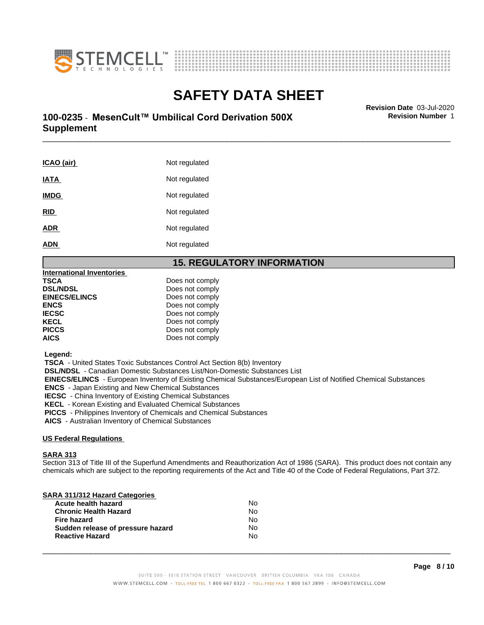



# \_\_\_\_\_\_\_\_\_\_\_\_\_\_\_\_\_\_\_\_\_\_\_\_\_\_\_\_\_\_\_\_\_\_\_\_\_\_\_\_\_\_\_\_\_\_\_\_\_\_\_\_\_\_\_\_\_\_\_\_\_\_\_\_\_\_\_\_\_\_\_\_\_\_\_\_\_\_\_\_\_\_\_\_\_\_\_\_\_\_\_\_\_ **Revision Date** 03-Jul-2020 **100-0235 ⋅ MesenCult™ Umbilical Cord Derivation 500X** Revision Number 1 **Supplement**

**ICAO** (air) Not regulated **IATA** Not regulated **IMDG** Not regulated **RID** Not regulated ADR Not regulated **ADN** Not regulated

### **15. REGULATORY INFORMATION**

| International Inventories |                 |
|---------------------------|-----------------|
| TSCA                      | Does not comply |
| <b>DSL/NDSL</b>           | Does not comply |
| <b>EINECS/ELINCS</b>      | Does not comply |
| ENCS                      | Does not comply |
| <b>IECSC</b>              | Does not comply |
| KECL                      | Does not comply |
| PICCS                     | Does not comply |
| AICS                      | Does not comply |
|                           |                 |

 **Legend:**

 **TSCA** - United States Toxic Substances Control Act Section 8(b) Inventory

 **DSL/NDSL** - Canadian Domestic Substances List/Non-Domestic Substances List

 **EINECS/ELINCS** - European Inventory of Existing Chemical Substances/European List of Notified Chemical Substances  **ENCS** - Japan Existing and New Chemical Substances

 **IECSC** - China Inventory of Existing Chemical Substances

 **KECL** - Korean Existing and Evaluated Chemical Substances

 **PICCS** - Philippines Inventory of Chemicals and Chemical Substances

 **AICS** - Australian Inventory of Chemical Substances

### **US Federal Regulations**

### **SARA 313**

Section 313 of Title III of the Superfund Amendments and Reauthorization Act of 1986 (SARA). This product does not contain any chemicals which are subject to the reporting requirements of the Act and Title 40 of the Code of Federal Regulations, Part 372.

| SARA 311/312 Hazard Categories    |    |  |
|-----------------------------------|----|--|
| Acute health hazard               | No |  |
| <b>Chronic Health Hazard</b>      | No |  |
| <b>Fire hazard</b>                | No |  |
| Sudden release of pressure hazard | No |  |
| <b>Reactive Hazard</b>            | No |  |
|                                   |    |  |

 $\overline{\phantom{a}}$  ,  $\overline{\phantom{a}}$  ,  $\overline{\phantom{a}}$  ,  $\overline{\phantom{a}}$  ,  $\overline{\phantom{a}}$  ,  $\overline{\phantom{a}}$  ,  $\overline{\phantom{a}}$  ,  $\overline{\phantom{a}}$  ,  $\overline{\phantom{a}}$  ,  $\overline{\phantom{a}}$  ,  $\overline{\phantom{a}}$  ,  $\overline{\phantom{a}}$  ,  $\overline{\phantom{a}}$  ,  $\overline{\phantom{a}}$  ,  $\overline{\phantom{a}}$  ,  $\overline{\phantom{a}}$ 

**Revision Number** 1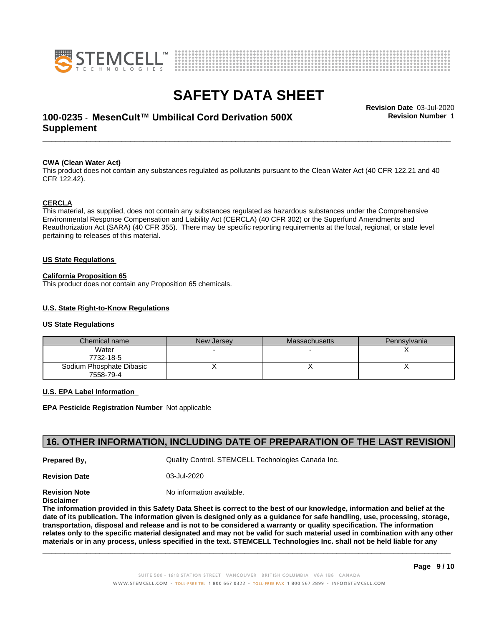



# \_\_\_\_\_\_\_\_\_\_\_\_\_\_\_\_\_\_\_\_\_\_\_\_\_\_\_\_\_\_\_\_\_\_\_\_\_\_\_\_\_\_\_\_\_\_\_\_\_\_\_\_\_\_\_\_\_\_\_\_\_\_\_\_\_\_\_\_\_\_\_\_\_\_\_\_\_\_\_\_\_\_\_\_\_\_\_\_\_\_\_\_\_ **Revision Date** 03-Jul-2020 **100-0235 ⋅ MesenCult™ Umbilical Cord Derivation 500X** Revision Number 1 **Supplement**

**Revision Number** 1

### **CWA (Clean WaterAct)**

This product does not contain any substances regulated as pollutants pursuant to the Clean Water Act (40 CFR 122.21 and 40 CFR 122.42).

### **CERCLA**

This material, as supplied, does not contain any substances regulated as hazardous substances under the Comprehensive Environmental Response Compensation and Liability Act (CERCLA) (40 CFR 302) or the Superfund Amendments and Reauthorization Act (SARA) (40 CFR 355). There may be specific reporting requirements at the local, regional, or state level pertaining to releases of this material.

#### **US State Regulations**

#### **California Proposition 65**

This product does not contain any Proposition 65 chemicals.

### **U.S. State Right-to-Know Regulations**

#### **US State Regulations**

| Chemical name            | New Jersey | Massachusetts | Pennsylvania |
|--------------------------|------------|---------------|--------------|
| Water                    |            |               |              |
| 7732-18-5                |            |               |              |
| Sodium Phosphate Dibasic |            |               |              |
| 7558-79-4                |            |               |              |

#### **U.S. EPA Label Information**

**EPA Pesticide Registration Number** Notapplicable

### **16. OTHER INFORMATION, INCLUDING DATE OF PREPARATION OF THE LAST REVISION**

**Prepared By, State Control. STEMCELL Technologies Canada Inc.** Canada Inc.

**Revision Date** 03-Jul-2020

**Revision Note** Noinformation available.

**Disclaimer**

The information provided in this Safety Data Sheet is correct to the best of our knowledge, information and belief at the date of its publication. The information given is designed only as a guidance for safe handling, use, processing, storage, transportation, disposal and release and is not to be considered a warranty or quality specification. The information relates only to the specific material designated and may not be valid for such material used in combination with any other materials or in any process, unless specified in the text. STEMCELL Technologies Inc. shall not be held liable for any